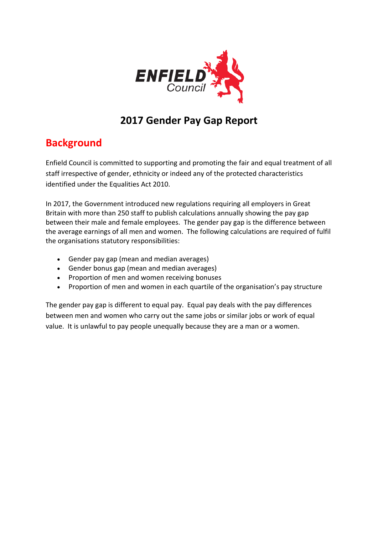

## **2017 Gender Pay Gap Report**

## **Background**

Enfield Council is committed to supporting and promoting the fair and equal treatment of all staff irrespective of gender, ethnicity or indeed any of the protected characteristics identified under the Equalities Act 2010.

In 2017, the Government introduced new regulations requiring all employers in Great Britain with more than 250 staff to publish calculations annually showing the pay gap between their male and female employees. The gender pay gap is the difference between the average earnings of all men and women. The following calculations are required of fulfil the organisations statutory responsibilities:

- Gender pay gap (mean and median averages)
- Gender bonus gap (mean and median averages)
- Proportion of men and women receiving bonuses
- Proportion of men and women in each quartile of the organisation's pay structure

The gender pay gap is different to equal pay. Equal pay deals with the pay differences between men and women who carry out the same jobs or similar jobs or work of equal value. It is unlawful to pay people unequally because they are a man or a women.